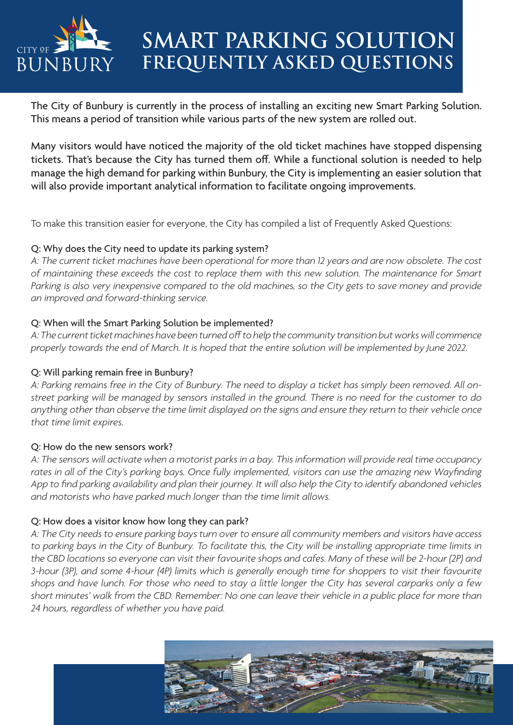

# **SMART PARKING SOLUTION FREQUENTLY ASKED QUESTIONS**

The City of Bunbury is currently in the process of installing an exciting new Smart Parking Solution. This means a period of transition while various parts of the new system are rolled out.

Many visitors would have noticed the majority of the old ticket machines have stopped dispensing tickets. That's because the City has turned them off. While a functional solution is needed to help manage the high demand for parking within Bunbury, the City is implementing an easier solution that will also provide important analytical information to facilitate ongoing improvements.

To make this transition easier for everyone, the City has compiled a list of Frequently Asked Questions:

## Q: Why does the City need to update its parking system?

*A: The current ticket machines have been operational for more than 12 years and are now obsolete. The cost of maintaining these exceeds the cost to replace them with this new solution. The maintenance for Smart Parking is also very inexpensive compared to the old machines, so the City gets to save money and provide an improved and forward-thinking service.*

## Q: When will the Smart Parking Solution be implemented?

*A: The current ticket machines have been turned off to help the community transition but works will commence properly towards the end of March. It is hoped that the entire solution will be implemented by June 2022.*

# Q: Will parking remain free in Bunbury?

*A: Parking remains free in the City of Bunbury. The need to display a ticket has simply been removed. All onstreet parking will be managed by sensors installed in the ground. There is no need for the customer to do anything other than observe the time limit displayed on the signs and ensure they return to their vehicle once that time limit expires.* 

## Q: How do the new sensors work?

*A: The sensors will activate when a motorist parks in a bay. This information will provide real time occupancy*  rates in all of the City's parking bays. Once fully implemented, visitors can use the amazing new Wayfinding *App to find parking availability and plan their journey. It will also help the City to identify abandoned vehicles and motorists who have parked much longer than the time limit allows.*

## Q: How does a visitor know how long they can park?

*A: The City needs to ensure parking bays turn over to ensure all community members and visitors have access to parking bays in the City of Bunbury. To facilitate this, the City will be installing appropriate time limits in the CBD locations so everyone can visit their favourite shops and cafes. Many of these will be 2-hour (2P) and 3-hour (3P), and some 4-hour (4P) limits which is generally enough time for shoppers to visit their favourite shops and have lunch. For those who need to stay a little longer the City has several carparks only a few short minutes' walk from the CBD. Remember: No one can leave their vehicle in a public place for more than 24 hours, regardless of whether you have paid.*